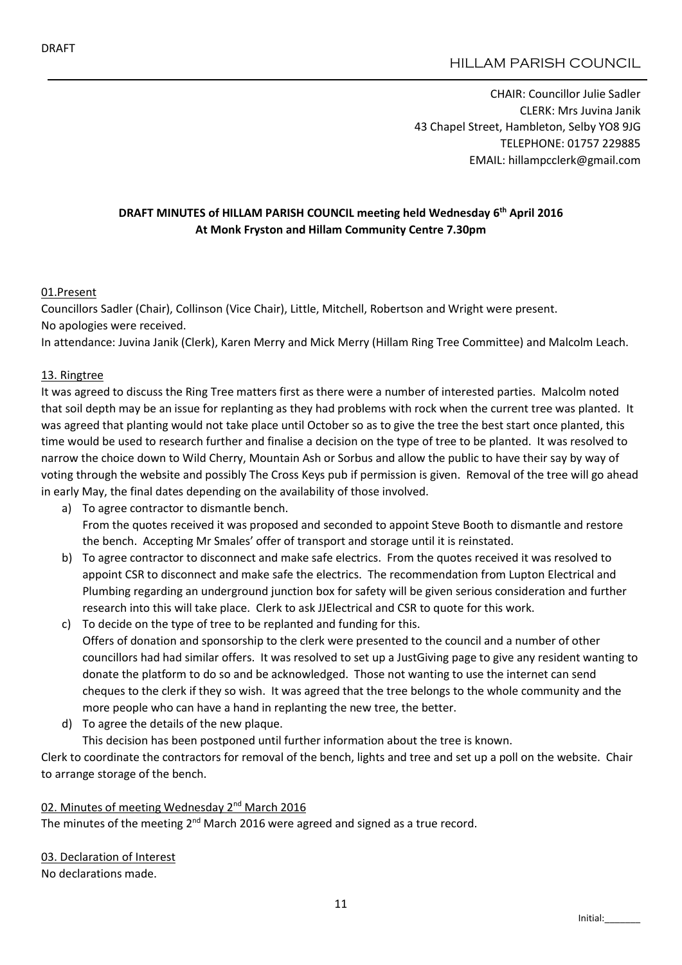# HILLAM PARISH COUNCIL

CHAIR: Councillor Julie Sadler CLERK: Mrs Juvina Janik 43 Chapel Street, Hambleton, Selby YO8 9JG TELEPHONE: 01757 229885 EMAIL: hillampcclerk@gmail.com

## DRAFT MINUTES of HILLAM PARISH COUNCIL meeting held Wednesday 6<sup>th</sup> April 2016 At Monk Fryston and Hillam Community Centre 7.30pm

### 01.Present

Councillors Sadler (Chair), Collinson (Vice Chair), Little, Mitchell, Robertson and Wright were present. No apologies were received.

In attendance: Juvina Janik (Clerk), Karen Merry and Mick Merry (Hillam Ring Tree Committee) and Malcolm Leach.

### 13. Ringtree

It was agreed to discuss the Ring Tree matters first as there were a number of interested parties. Malcolm noted that soil depth may be an issue for replanting as they had problems with rock when the current tree was planted. It was agreed that planting would not take place until October so as to give the tree the best start once planted, this time would be used to research further and finalise a decision on the type of tree to be planted. It was resolved to narrow the choice down to Wild Cherry, Mountain Ash or Sorbus and allow the public to have their say by way of voting through the website and possibly The Cross Keys pub if permission is given. Removal of the tree will go ahead in early May, the final dates depending on the availability of those involved.

- a) To agree contractor to dismantle bench. From the quotes received it was proposed and seconded to appoint Steve Booth to dismantle and restore the bench. Accepting Mr Smales' offer of transport and storage until it is reinstated.
- b) To agree contractor to disconnect and make safe electrics. From the quotes received it was resolved to appoint CSR to disconnect and make safe the electrics. The recommendation from Lupton Electrical and Plumbing regarding an underground junction box for safety will be given serious consideration and further research into this will take place. Clerk to ask JJElectrical and CSR to quote for this work.
- c) To decide on the type of tree to be replanted and funding for this. Offers of donation and sponsorship to the clerk were presented to the council and a number of other councillors had had similar offers. It was resolved to set up a JustGiving page to give any resident wanting to donate the platform to do so and be acknowledged. Those not wanting to use the internet can send cheques to the clerk if they so wish. It was agreed that the tree belongs to the whole community and the more people who can have a hand in replanting the new tree, the better.
- d) To agree the details of the new plaque.
- This decision has been postponed until further information about the tree is known.

Clerk to coordinate the contractors for removal of the bench, lights and tree and set up a poll on the website. Chair to arrange storage of the bench.

### 02. Minutes of meeting Wednesday 2<sup>nd</sup> March 2016

The minutes of the meeting  $2^{nd}$  March 2016 were agreed and signed as a true record.

03. Declaration of Interest No declarations made.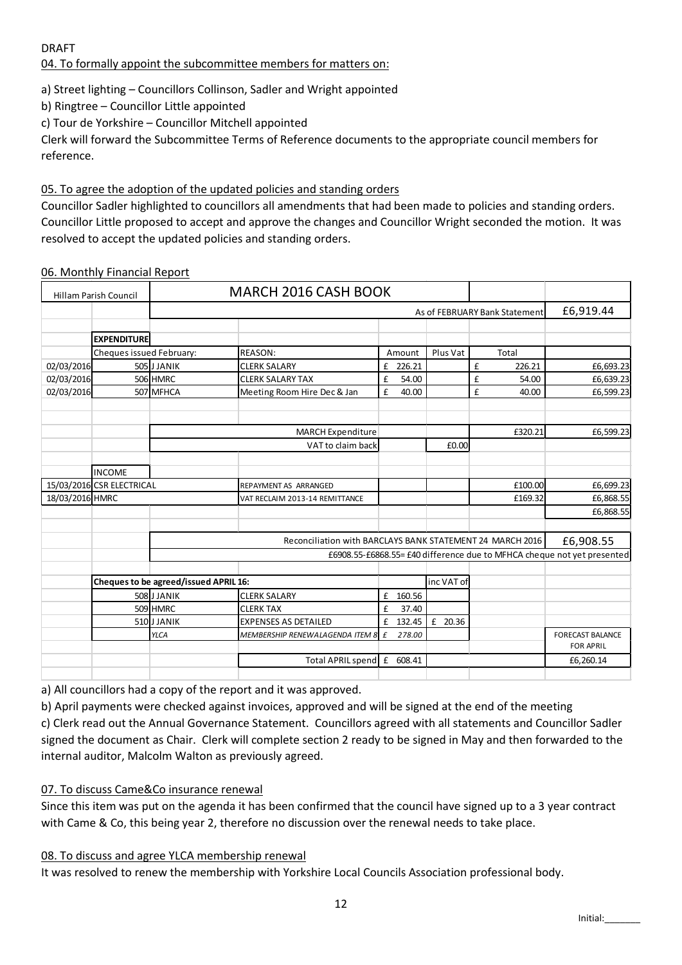DRAFT

04. To formally appoint the subcommittee members for matters on:

a) Street lighting – Councillors Collinson, Sadler and Wright appointed

b) Ringtree – Councillor Little appointed

c) Tour de Yorkshire – Councillor Mitchell appointed

Clerk will forward the Subcommittee Terms of Reference documents to the appropriate council members for reference.

## 05. To agree the adoption of the updated policies and standing orders

Councillor Sadler highlighted to councillors all amendments that had been made to policies and standing orders. Councillor Little proposed to accept and approve the changes and Councillor Wright seconded the motion. It was resolved to accept the updated policies and standing orders.

## 06. Monthly Financial Report

| Hillam Parish Council     |                                       | <b>MARCH 2016 CASH BOOK</b> |                                   |                                                           |        |                               |             |                                                                         |
|---------------------------|---------------------------------------|-----------------------------|-----------------------------------|-----------------------------------------------------------|--------|-------------------------------|-------------|-------------------------------------------------------------------------|
|                           |                                       |                             |                                   |                                                           |        | As of FEBRUARY Bank Statement | £6,919.44   |                                                                         |
|                           |                                       |                             |                                   |                                                           |        |                               |             |                                                                         |
|                           | <b>EXPENDITURE</b>                    |                             |                                   |                                                           |        |                               |             |                                                                         |
|                           | Cheques issued February:              |                             | <b>REASON:</b>                    |                                                           | Amount | Plus Vat                      | Total       |                                                                         |
| 02/03/2016                |                                       | 505 JJANIK                  | <b>CLERK SALARY</b>               | £                                                         | 226.21 |                               | £<br>226.21 | £6,693.23                                                               |
| 02/03/2016                |                                       | 506 HMRC                    | <b>CLERK SALARY TAX</b>           | £                                                         | 54.00  |                               | £<br>54.00  | £6,639.23                                                               |
| 02/03/2016                |                                       | 507 MFHCA                   | Meeting Room Hire Dec & Jan       | £                                                         | 40.00  |                               | £<br>40.00  | £6,599.23                                                               |
|                           |                                       |                             |                                   |                                                           |        |                               |             |                                                                         |
|                           |                                       |                             | <b>MARCH Expenditure</b>          |                                                           |        |                               | £320.21     | £6,599.23                                                               |
|                           |                                       |                             | VAT to claim back                 |                                                           |        | £0.00                         |             |                                                                         |
|                           | <b>INCOME</b>                         |                             |                                   |                                                           |        |                               |             |                                                                         |
| 15/03/2016 CSR ELECTRICAL |                                       |                             | REPAYMENT AS ARRANGED             |                                                           |        |                               | £100.00     | £6,699.23                                                               |
| 18/03/2016 HMRC           |                                       |                             | VAT RECLAIM 2013-14 REMITTANCE    |                                                           |        |                               | £169.32     | £6,868.55                                                               |
|                           |                                       |                             |                                   |                                                           |        |                               |             | £6,868.55                                                               |
|                           |                                       |                             |                                   |                                                           |        |                               |             |                                                                         |
|                           |                                       |                             |                                   | Reconciliation with BARCLAYS BANK STATEMENT 24 MARCH 2016 |        |                               |             | £6,908.55                                                               |
|                           |                                       |                             |                                   |                                                           |        |                               |             | £6908.55-£6868.55= £40 difference due to MFHCA cheque not yet presented |
|                           | Cheques to be agreed/issued APRIL 16: |                             |                                   |                                                           |        | inc VAT of                    |             |                                                                         |
|                           |                                       | 508 J JANIK                 | <b>CLERK SALARY</b>               | £                                                         | 160.56 |                               |             |                                                                         |
|                           |                                       | 509 HMRC                    | <b>CLERK TAX</b>                  | £                                                         | 37.40  |                               |             |                                                                         |
|                           |                                       | 510JJANIK                   | <b>EXPENSES AS DETAILED</b>       | £                                                         | 132.45 | £ 20.36                       |             |                                                                         |
|                           |                                       | <b>YLCA</b>                 | MEMBERSHIP RENEWALAGENDA ITEM 8 £ |                                                           | 278.00 |                               |             | <b>FORECAST BALANCE</b><br><b>FOR APRIL</b>                             |
|                           |                                       |                             | Total APRIL spend £               |                                                           | 608.41 |                               |             | £6,260.14                                                               |
|                           |                                       |                             |                                   |                                                           |        |                               |             |                                                                         |

a) All councillors had a copy of the report and it was approved.

b) April payments were checked against invoices, approved and will be signed at the end of the meeting

c) Clerk read out the Annual Governance Statement. Councillors agreed with all statements and Councillor Sadler signed the document as Chair. Clerk will complete section 2 ready to be signed in May and then forwarded to the internal auditor, Malcolm Walton as previously agreed.

## 07. To discuss Came&Co insurance renewal

Since this item was put on the agenda it has been confirmed that the council have signed up to a 3 year contract with Came & Co, this being year 2, therefore no discussion over the renewal needs to take place.

## 08. To discuss and agree YLCA membership renewal

It was resolved to renew the membership with Yorkshire Local Councils Association professional body.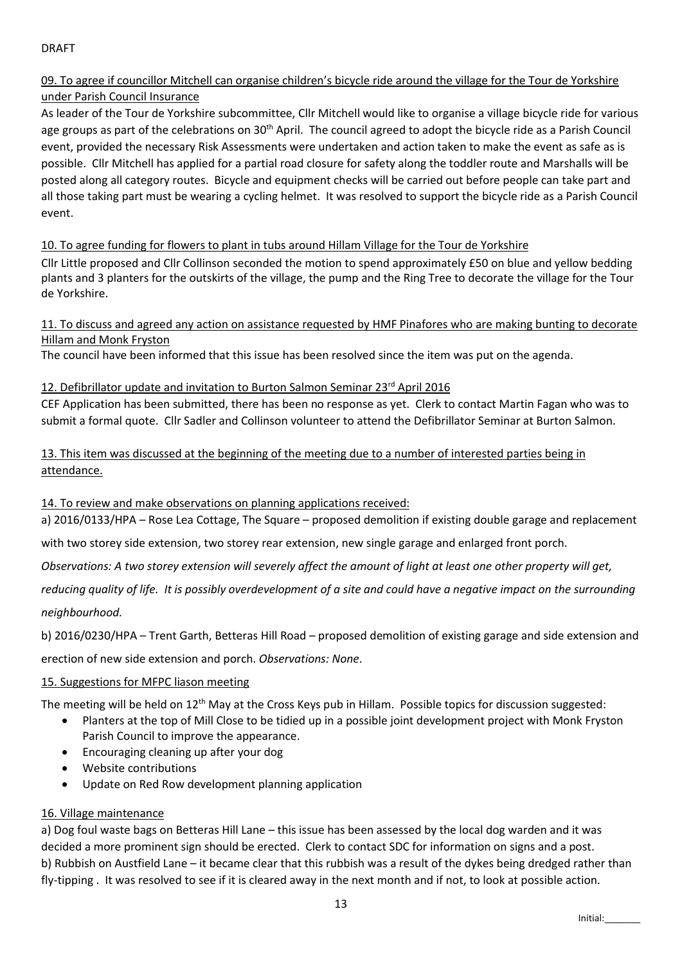## 09. To agree if councillor Mitchell can organise children's bicycle ride around the village for the Tour de Yorkshire under Parish Council Insurance

As leader of the Tour de Yorkshire subcommittee, Cllr Mitchell would like to organise a village bicycle ride for various age groups as part of the celebrations on 30<sup>th</sup> April. The council agreed to adopt the bicycle ride as a Parish Council event, provided the necessary Risk Assessments were undertaken and action taken to make the event as safe as is possible. Cllr Mitchell has applied for a partial road closure for safety along the toddler route and Marshalls will be posted along all category routes. Bicycle and equipment checks will be carried out before people can take part and all those taking part must be wearing a cycling helmet. It was resolved to support the bicycle ride as a Parish Council event.

## 10. To agree funding for flowers to plant in tubs around Hillam Village for the Tour de Yorkshire

Cllr Little proposed and Cllr Collinson seconded the motion to spend approximately £50 on blue and yellow bedding plants and 3 planters for the outskirts of the village, the pump and the Ring Tree to decorate the village for the Tour de Yorkshire.

11. To discuss and agreed any action on assistance requested by HMF Pinafores who are making bunting to decorate Hillam and Monk Fryston

The council have been informed that this issue has been resolved since the item was put on the agenda.

## 12. Defibrillator update and invitation to Burton Salmon Seminar 23<sup>rd</sup> April 2016

CEF Application has been submitted, there has been no response as yet. Clerk to contact Martin Fagan who was to submit a formal quote. Cllr Sadler and Collinson volunteer to attend the Defibrillator Seminar at Burton Salmon.

13. This item was discussed at the beginning of the meeting due to a number of interested parties being in attendance.

14. To review and make observations on planning applications received:

a) 2016/0133/HPA – Rose Lea Cottage, The Square – proposed demolition if existing double garage and replacement

with two storey side extension, two storey rear extension, new single garage and enlarged front porch.

*Observations: A two storey extension will severely affect the amount of light at least one other property will get,* 

*reducing quality of life. It is possibly overdevelopment of a site and could have a negative impact on the surrounding neighbourhood.*

b) 2016/0230/HPA – Trent Garth, Betteras Hill Road – proposed demolition of existing garage and side extension and

erection of new side extension and porch. *Observations: None*.

## 15. Suggestions for MFPC liason meeting

The meeting will be held on  $12^{th}$  May at the Cross Keys pub in Hillam. Possible topics for discussion suggested:

- Planters at the top of Mill Close to be tidied up in a possible joint development project with Monk Fryston Parish Council to improve the appearance.
- Encouraging cleaning up after your dog
- Website contributions
- Update on Red Row development planning application

## 16. Village maintenance

a) Dog foul waste bags on Betteras Hill Lane – this issue has been assessed by the local dog warden and it was decided a more prominent sign should be erected. Clerk to contact SDC for information on signs and a post. b) Rubbish on Austfield Lane – it became clear that this rubbish was a result of the dykes being dredged rather than fly-tipping . It was resolved to see if it is cleared away in the next month and if not, to look at possible action.